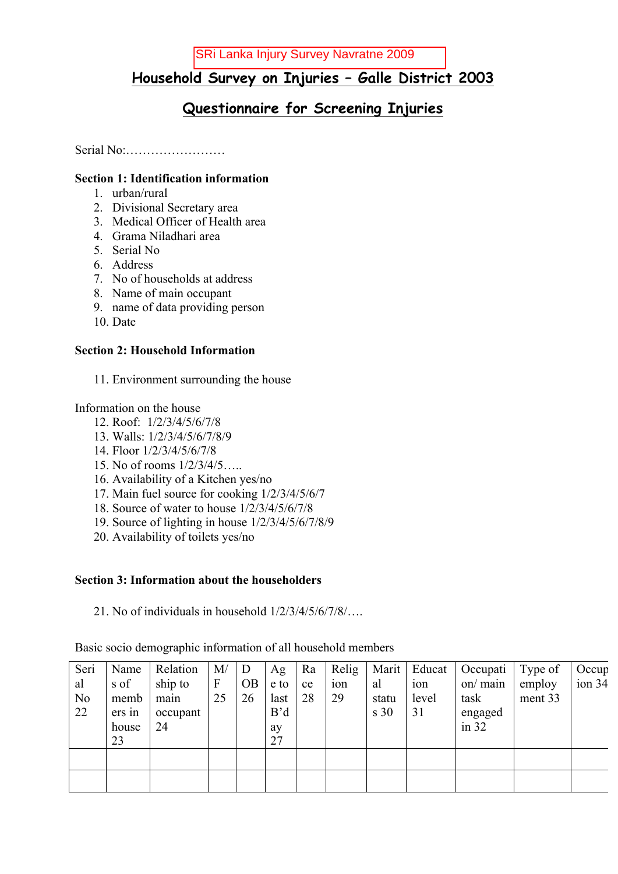# **Household Survey on Injuries – Galle District 2003**

# **Questionnaire for Screening Injuries**

Serial No:……………………

## **Section 1: Identification information**

- 1. urban/rural
- 2. Divisional Secretary area
- 3. Medical Officer of Health area
- 4. Grama Niladhari area
- 5. Serial No
- 6. Address
- 7. No of households at address
- 8. Name of main occupant
- 9. name of data providing person
- 10. Date

## **Section 2: Household Information**

11. Environment surrounding the house

Information on the house

- 12. Roof: 1/2/3/4/5/6/7/8
- 13. Walls: 1/2/3/4/5/6/7/8/9
- 14. Floor 1/2/3/4/5/6/7/8
- 15. No of rooms 1/2/3/4/5…..
- 16. Availability of a Kitchen yes/no
- 17. Main fuel source for cooking 1/2/3/4/5/6/7
- 18. Source of water to house 1/2/3/4/5/6/7/8
- 19. Source of lighting in house 1/2/3/4/5/6/7/8/9
- 20. Availability of toilets yes/no

## **Section 3: Information about the householders**

21. No of individuals in household 1/2/3/4/5/6/7/8/….

Basic socio demographic information of all household members

| Seri           | Name   | Relation | M/               | D         | Ag   | Ra | Relig | Marit | Educat | Occupati      | Type of | Occup  |
|----------------|--------|----------|------------------|-----------|------|----|-------|-------|--------|---------------|---------|--------|
| al             | s of   | ship to  | $\boldsymbol{F}$ | <b>OB</b> | e to | ce | 10n   | al    | 10n    | $\alpha$ main | employ  | ion 34 |
| N <sub>0</sub> | memb   | main     | 25               | 26        | last | 28 | 29    | statu | level  | task          | ment 33 |        |
| 22             | ers in | occupant |                  |           | B'd  |    |       | s 30  | 31     | engaged       |         |        |
|                | house  | 24       |                  |           | ay   |    |       |       |        | in $32$       |         |        |
|                | 23     |          |                  |           | 27   |    |       |       |        |               |         |        |
|                |        |          |                  |           |      |    |       |       |        |               |         |        |
|                |        |          |                  |           |      |    |       |       |        |               |         |        |
|                |        |          |                  |           |      |    |       |       |        |               |         |        |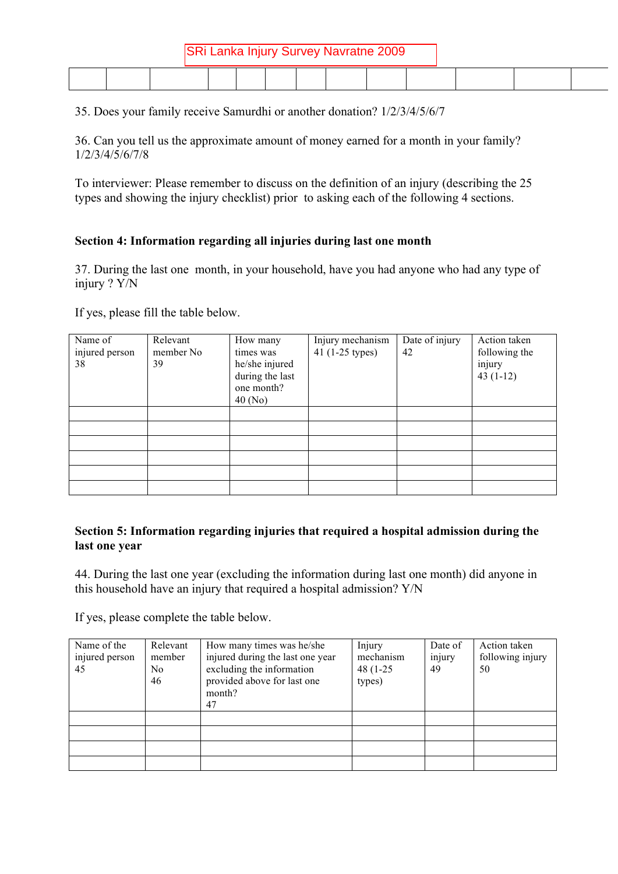| SRi Lanka Injury Survey Navratne 2009 |  |  |  |  |  |  |  |  |  |  |  |
|---------------------------------------|--|--|--|--|--|--|--|--|--|--|--|
|                                       |  |  |  |  |  |  |  |  |  |  |  |

35. Does your family receive Samurdhi or another donation? 1/2/3/4/5/6/7

36. Can you tell us the approximate amount of money earned for a month in your family? 1/2/3/4/5/6/7/8

To interviewer: Please remember to discuss on the definition of an injury (describing the 25 types and showing the injury checklist) prior to asking each of the following 4 sections.

## **Section 4: Information regarding all injuries during last one month**

37. During the last one month, in your household, have you had anyone who had any type of injury ? Y/N

If yes, please fill the table below.

| Name of<br>injured person<br>38 | Relevant<br>member No<br>39 | How many<br>times was<br>he/she injured<br>during the last<br>one month?<br>40(No) | Injury mechanism<br>41 (1-25 types) | Date of injury<br>42 | Action taken<br>following the<br>injury<br>$43(1-12)$ |
|---------------------------------|-----------------------------|------------------------------------------------------------------------------------|-------------------------------------|----------------------|-------------------------------------------------------|
|                                 |                             |                                                                                    |                                     |                      |                                                       |
|                                 |                             |                                                                                    |                                     |                      |                                                       |
|                                 |                             |                                                                                    |                                     |                      |                                                       |
|                                 |                             |                                                                                    |                                     |                      |                                                       |
|                                 |                             |                                                                                    |                                     |                      |                                                       |
|                                 |                             |                                                                                    |                                     |                      |                                                       |

## **Section 5: Information regarding injuries that required a hospital admission during the last one year**

44. During the last one year (excluding the information during last one month) did anyone in this household have an injury that required a hospital admission? Y/N

If yes, please complete the table below.

| Name of the<br>injured person<br>45 | Relevant<br>member<br>No<br>46 | How many times was he/she<br>injured during the last one year<br>excluding the information<br>provided above for last one<br>month?<br>47 | Injury<br>mechanism<br>48 (1-25)<br>types) | Date of<br>injury<br>49 | Action taken<br>following injury<br>50 |
|-------------------------------------|--------------------------------|-------------------------------------------------------------------------------------------------------------------------------------------|--------------------------------------------|-------------------------|----------------------------------------|
|                                     |                                |                                                                                                                                           |                                            |                         |                                        |
|                                     |                                |                                                                                                                                           |                                            |                         |                                        |
|                                     |                                |                                                                                                                                           |                                            |                         |                                        |
|                                     |                                |                                                                                                                                           |                                            |                         |                                        |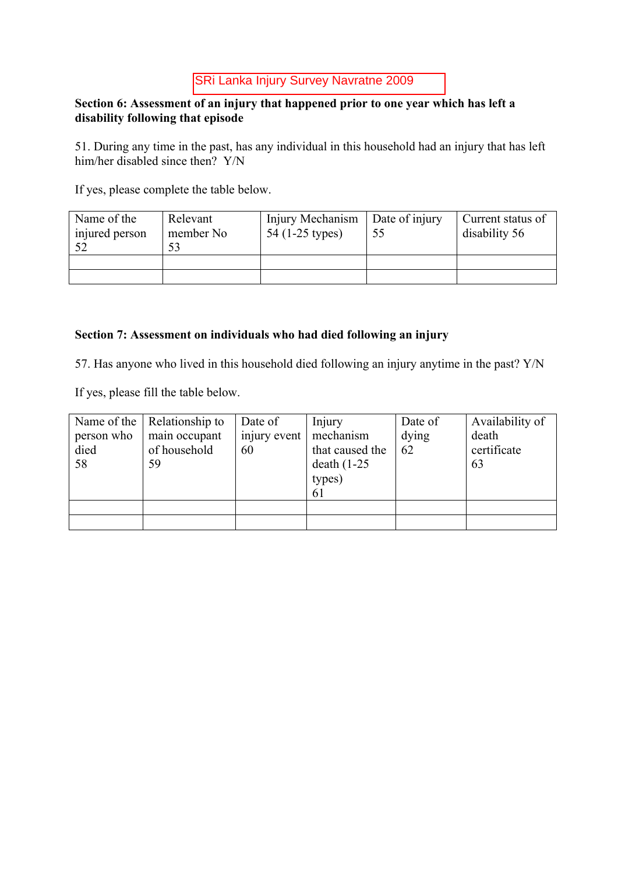## **Section 6: Assessment of an injury that happened prior to one year which has left a disability following that episode**

51. During any time in the past, has any individual in this household had an injury that has left him/her disabled since then? Y/N

If yes, please complete the table below.

| Name of the    | Relevant  | Injury Mechanism | Date of injury | Current status of |
|----------------|-----------|------------------|----------------|-------------------|
| injured person | member No | 54 (1-25 types)  | 55             | disability 56     |
|                |           |                  |                |                   |

## **Section 7: Assessment on individuals who had died following an injury**

57. Has anyone who lived in this household died following an injury anytime in the past? Y/N

If yes, please fill the table below.

| Name of the<br>person who<br>died<br>58 | Relationship to<br>main occupant<br>of household<br>59 | Date of<br>injury event<br>60 | Injury<br>mechanism<br>that caused the<br>death $(1-25)$<br>types)<br>61 | Date of<br>dying<br>62 | Availability of<br>death<br>certificate<br>63 |
|-----------------------------------------|--------------------------------------------------------|-------------------------------|--------------------------------------------------------------------------|------------------------|-----------------------------------------------|
|                                         |                                                        |                               |                                                                          |                        |                                               |
|                                         |                                                        |                               |                                                                          |                        |                                               |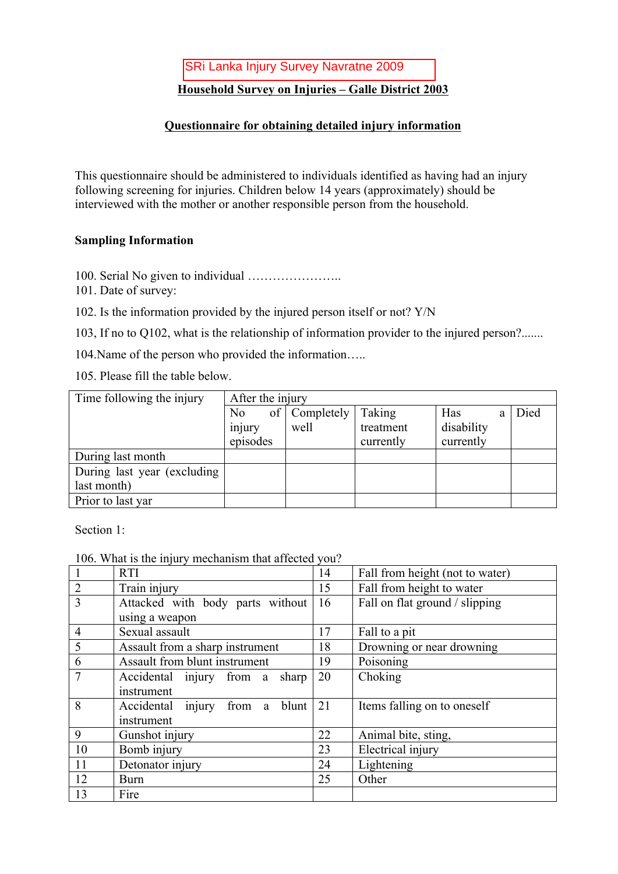## **Household Survey on Injuries – Galle District 2003**

## **Questionnaire for obtaining detailed injury information**

This questionnaire should be administered to individuals identified as having had an injury following screening for injuries. Children below 14 years (approximately) should be interviewed with the mother or another responsible person from the household.

## **Sampling Information**

- 100. Serial No given to individual …………………..
- 101. Date of survey:
- 102. Is the information provided by the injured person itself or not? Y/N

103, If no to Q102, what is the relationship of information provider to the injured person?.......

104.Name of the person who provided the information…..

105. Please fill the table below.

| Time following the injury    | After the injury |               |           |            |  |      |
|------------------------------|------------------|---------------|-----------|------------|--|------|
|                              | No               | of Completely | Taking    | Has        |  | Died |
|                              | injury           | well          | treatment | disability |  |      |
|                              | episodes         |               | currently | currently  |  |      |
| During last month            |                  |               |           |            |  |      |
| During last year (excluding) |                  |               |           |            |  |      |
| last month)                  |                  |               |           |            |  |      |
| Prior to last yar            |                  |               |           |            |  |      |

Section 1:

106. What is the injury mechanism that affected you?

|                | $100.11$ and $100$ and $111$ and $111$ and $111$ and $111$ and $1100$ and $1100$<br><b>RTI</b> | 14 | Fall from height (not to water) |
|----------------|------------------------------------------------------------------------------------------------|----|---------------------------------|
| $\overline{2}$ | Train injury                                                                                   | 15 | Fall from height to water       |
| 3              | Attacked with body parts without                                                               | 16 | Fall on flat ground / slipping  |
|                | using a weapon                                                                                 |    |                                 |
| $\overline{4}$ | Sexual assault                                                                                 | 17 | Fall to a pit                   |
| 5              | Assault from a sharp instrument                                                                | 18 | Drowning or near drowning       |
| 6              | Assault from blunt instrument                                                                  | 19 | Poisoning                       |
|                | Accidental injury from a<br>sharp                                                              | 20 | Choking                         |
|                | instrument                                                                                     |    |                                 |
| 8              | Accidental injury from a<br>blunt                                                              | 21 | Items falling on to oneself     |
|                | instrument                                                                                     |    |                                 |
| 9              | Gunshot injury                                                                                 | 22 | Animal bite, sting,             |
| 10             | Bomb injury                                                                                    | 23 | Electrical injury               |
| 11             | Detonator injury                                                                               | 24 | Lightening                      |
| 12             | <b>Burn</b>                                                                                    | 25 | Other                           |
| 13             | Fire                                                                                           |    |                                 |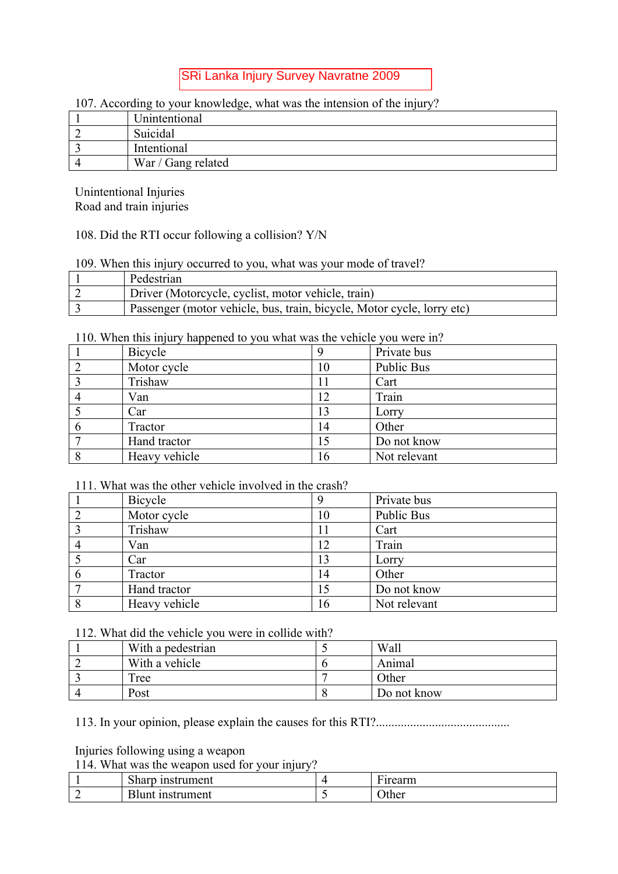#### 107. According to your knowledge, what was the intension of the injury?

| Unintentional      |
|--------------------|
| Suicidal           |
| Intentional        |
| War / Gang related |

Unintentional Injuries Road and train injuries

## 108. Did the RTI occur following a collision? Y/N

#### 109. When this injury occurred to you, what was your mode of travel?

| Pedestrian                                                             |
|------------------------------------------------------------------------|
| Driver (Motorcycle, cyclist, motor vehicle, train)                     |
| Passenger (motor vehicle, bus, train, bicycle, Motor cycle, lorry etc) |

110. When this injury happened to you what was the vehicle you were in?

| Bicycle       |    | Private bus  |
|---------------|----|--------------|
| Motor cycle   | 10 | Public Bus   |
| Trishaw       |    | Cart         |
| Van           | 12 | Train        |
| Car           | 13 | Lorry        |
| Tractor       | 14 | Other        |
| Hand tractor  | 15 | Do not know  |
| Heavy vehicle | 16 | Not relevant |

## 111. What was the other vehicle involved in the crash?

|             | Bicycle       |    | Private bus       |
|-------------|---------------|----|-------------------|
|             | Motor cycle   | 10 | <b>Public Bus</b> |
|             | Trishaw       |    | Cart              |
|             | Van           | 12 | Train             |
|             | Car           | 13 | Lorry             |
| $\mathbf b$ | Tractor       | 14 | Other             |
|             | Hand tractor  | 15 | Do not know       |
|             | Heavy vehicle | 16 | Not relevant      |

## 112. What did the vehicle you were in collide with?

| With a pedestrian | Wall        |
|-------------------|-------------|
| With a vehicle    | Animal      |
| Tree              | Other       |
| Post              | Do not know |

113. In your opinion, please explain the causes for this RTI?...........................................

Injuries following using a weapon

114. What was the weapon used for your injury?

| $\sim$<br>'rument<br>0.122<br>112221<br>HISU<br><b>SHALU</b> |          | $\sim$<br>$\overline{a}$ and $\overline{a}$ and $\overline{a}$<br>Шı |
|--------------------------------------------------------------|----------|----------------------------------------------------------------------|
| ument-<br>∐unt                                               | <u>ب</u> | Jther                                                                |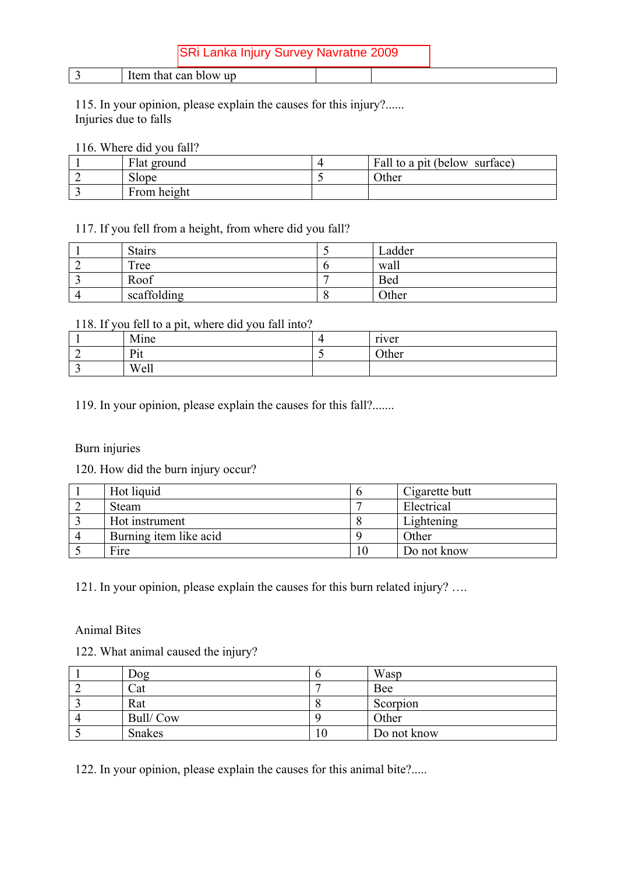| - | u<br>$\sim$<br>.<br>$\sim$<br><b>LU</b><br>. |  |
|---|----------------------------------------------|--|
|   |                                              |  |

115. In your opinion, please explain the causes for this injury?...... Injuries due to falls

#### 116. Where did you fall?

| Flat ground | Fall to a pit (below surface) |
|-------------|-------------------------------|
| Slope.      | <b>Other</b>                  |
| From height |                               |

## 117. If you fell from a height, from where did you fall?

| <b>Stairs</b> | Ladder     |
|---------------|------------|
| Tree          | wall       |
| Roof          | <b>Bed</b> |
| scaffolding   | Other      |

#### 118. If you fell to a pit, where did you fall into?

| Mine | 4 | river |
|------|---|-------|
| Pit  |   | Other |
| Well |   |       |

119. In your opinion, please explain the causes for this fall?.......

## Burn injuries

120. How did the burn injury occur?

| Hot liquid             | Cigarette butt |
|------------------------|----------------|
| Steam                  | Electrical     |
| Hot instrument         | Lightening     |
| Burning item like acid | Other          |
| Fire                   | Do not know    |

121. In your opinion, please explain the causes for this burn related injury? ….

#### Animal Bites

|  |  |  |  |  | 122. What animal caused the injury? |  |
|--|--|--|--|--|-------------------------------------|--|
|--|--|--|--|--|-------------------------------------|--|

| Dog           | Wasp        |
|---------------|-------------|
| Cat           | <b>Bee</b>  |
| Rat           | Scorpion    |
| Bull/Cow      | Other       |
| <b>Snakes</b> | Do not know |

122. In your opinion, please explain the causes for this animal bite?.....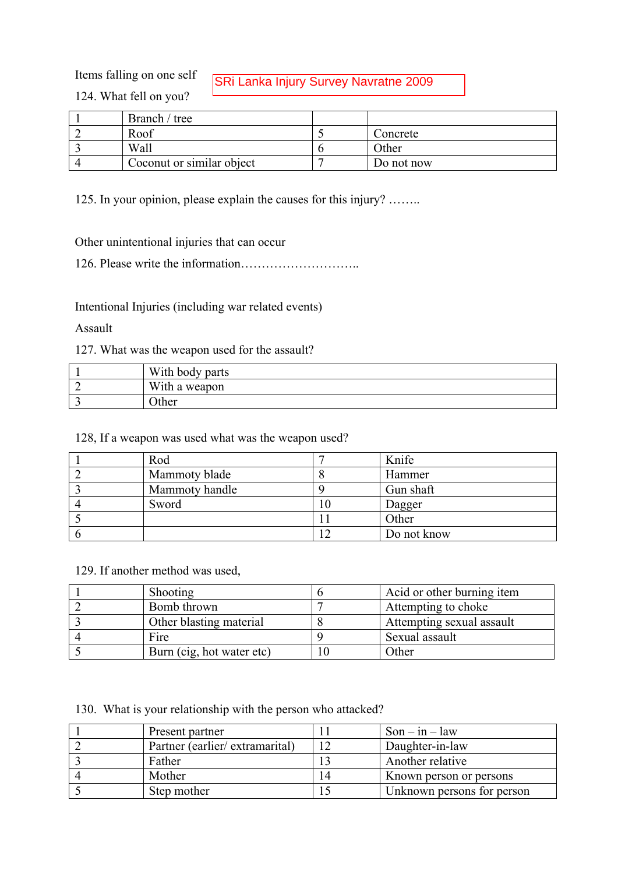Items falling on one self

SRi Lanka Injury Survey Navratne 2009

124. What fell on you?

| Branch / tree             |            |
|---------------------------|------------|
| Roof                      | Concrete   |
| Wall                      | Other      |
| Coconut or similar object | Do not now |

125. In your opinion, please explain the causes for this injury? ……..

Other unintentional injuries that can occur

126. Please write the information………………………..

Intentional Injuries (including war related events)

Assault

127. What was the weapon used for the assault?

| With body parts |
|-----------------|
| With a weapon   |
| )ther           |

128, If a weapon was used what was the weapon used?

| Rod            | Knife       |
|----------------|-------------|
| Mammoty blade  | Hammer      |
| Mammoty handle | Gun shaft   |
| Sword          | Dagger      |
|                | Other       |
|                | Do not know |

129. If another method was used,

| <b>Shooting</b>           | Acid or other burning item |
|---------------------------|----------------------------|
| Bomb thrown               | Attempting to choke        |
| Other blasting material   | Attempting sexual assault  |
| Fire                      | Sexual assault             |
| Burn (cig, hot water etc) | Other                      |

130. What is your relationship with the person who attacked?

| Present partner                | $Son - in - law$           |
|--------------------------------|----------------------------|
| Partner (earlier/extramarital) | Daughter-in-law            |
| Father                         | Another relative           |
| Mother                         | Known person or persons    |
| Step mother                    | Unknown persons for person |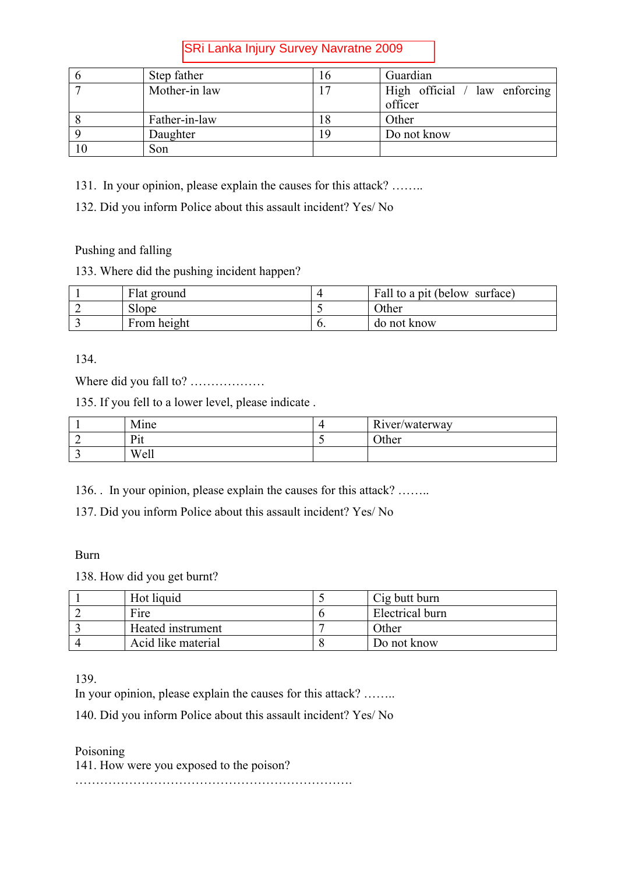| Step father   | $\mathbf b$ | Guardian                                 |
|---------------|-------------|------------------------------------------|
| Mother-in law |             | High official / law enforcing<br>officer |
| Father-in-law | 8           | Other                                    |
| Daughter      |             | Do not know                              |
| Son           |             |                                          |

131. In your opinion, please explain the causes for this attack? ……..

132. Did you inform Police about this assault incident? Yes/ No

Pushing and falling

## 133. Where did the pushing incident happen?

| Flat ground |    | Fall to a pit (below surface) |
|-------------|----|-------------------------------|
| Slope       |    | Other                         |
| From height | v. | do not know                   |

134.

Where did you fall to? ………………

135. If you fell to a lower level, please indicate .

| Mine                          |                       | River/waterway |
|-------------------------------|-----------------------|----------------|
| $\mathbf{D}_{14}$<br>$\pm 11$ | $\tilde{\phantom{a}}$ | <b>Other</b>   |
| Well                          |                       |                |

136. . In your opinion, please explain the causes for this attack? ……..

137. Did you inform Police about this assault incident? Yes/ No

## Burn

138. How did you get burnt?

| Hot liquid         | Cig butt burn   |
|--------------------|-----------------|
| Fire               | Electrical burn |
| Heated instrument  | Other           |
| Acid like material | Do not know     |

139.

In your opinion, please explain the causes for this attack? ……..

140. Did you inform Police about this assault incident? Yes/ No

Poisoning 141. How were you exposed to the poison? ………………………………………………………….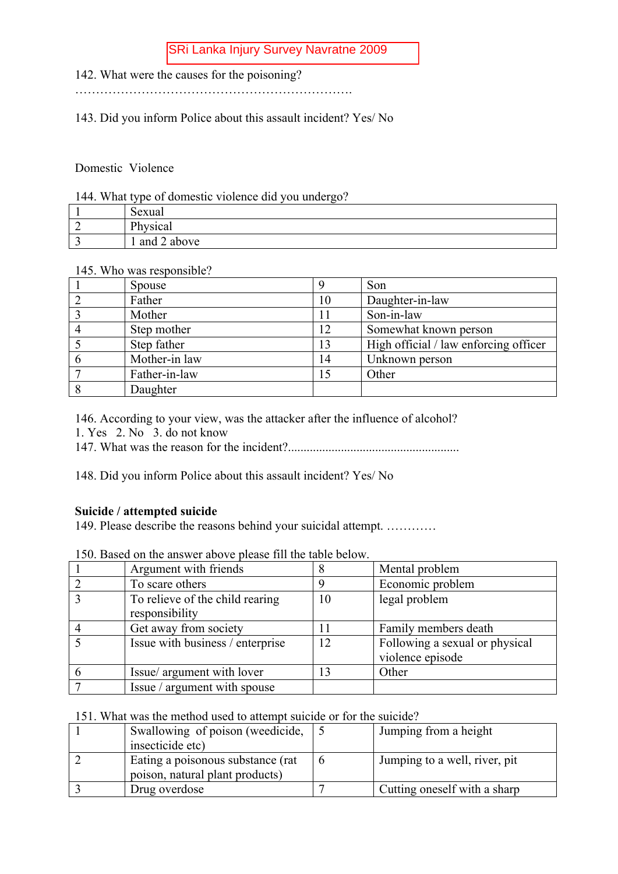- 142. What were the causes for the poisoning?
- ………………………………………………………….

143. Did you inform Police about this assault incident? Yes/ No

Domestic Violence

#### 144. What type of domestic violence did you undergo?

|   | $\sim$<br>Sexual |
|---|------------------|
| - | Physical         |
|   | 1 and 2 above    |

#### 145. Who was responsible?

| Spouse        | q  | Son                                   |
|---------------|----|---------------------------------------|
| Father        | 10 | Daughter-in-law                       |
| Mother        |    | Son-in-law                            |
| Step mother   | 12 | Somewhat known person                 |
| Step father   | 13 | High official / law enforcing officer |
| Mother-in law | 14 | Unknown person                        |
| Father-in-law | 15 | Other                                 |
| Daughter      |    |                                       |

146. According to your view, was the attacker after the influence of alcohol?

1. Yes 2. No 3. do not know

147. What was the reason for the incident?.......................................................

148. Did you inform Police about this assault incident? Yes/ No

#### **Suicide / attempted suicide**

149. Please describe the reasons behind your suicidal attempt. …………

| Argument with friends                             |    | Mental problem                                     |
|---------------------------------------------------|----|----------------------------------------------------|
| To scare others                                   |    | Economic problem                                   |
| To relieve of the child rearing<br>responsibility | 10 | legal problem                                      |
| Get away from society                             |    | Family members death                               |
| Issue with business / enterprise                  | 12 | Following a sexual or physical<br>violence episode |
| Issue/ argument with lover                        |    | Other                                              |
| Issue / argument with spouse                      |    |                                                    |

150. Based on the answer above please fill the table below.

#### 151. What was the method used to attempt suicide or for the suicide?

| Swallowing of poison (weedicide,                                      | Jumping from a height         |
|-----------------------------------------------------------------------|-------------------------------|
| insecticide etc)                                                      |                               |
| Eating a poisonous substance (rat)<br>poison, natural plant products) | Jumping to a well, river, pit |
|                                                                       |                               |
| Drug overdose                                                         | Cutting oneself with a sharp  |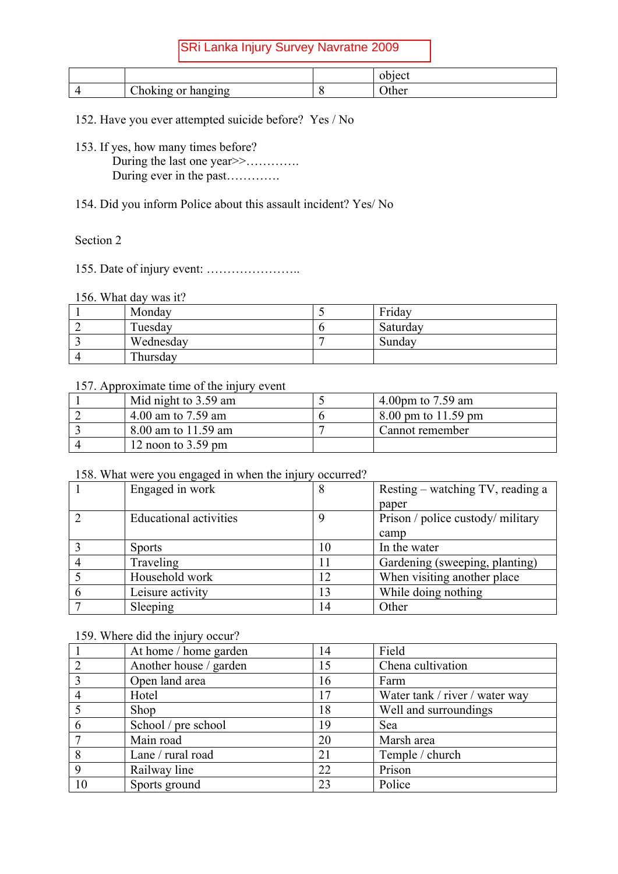|                                                   | $\sim$  |
|---------------------------------------------------|---------|
| ~·<br>$\sigma$ <sub>1</sub> n $\sigma$<br>$- - -$ | .<br>лe |

152. Have you ever attempted suicide before? Yes / No

- 153. If yes, how many times before? During the last one year >>………….. During ever in the past………….
- 154. Did you inform Police about this assault incident? Yes/ No

## Section 2

155. Date of injury event: …………………..

#### 156. What day was it?

| Monday    | Friday   |
|-----------|----------|
| Tuesday   | Saturday |
| Wednesday | Sunday   |
| Thursday  |          |

## 157. Approximate time of the injury event

| Mid night to 3.59 am | 4.00pm to $7.59$ am |
|----------------------|---------------------|
| 4.00 am to $7.59$ am | 8.00 pm to 11.59 pm |
| 8.00 am to 11.59 am  | Cannot remember     |
| 12 noon to $3.59$ pm |                     |

#### 158. What were you engaged in when the injury occurred?

| Engaged in work               | 8  | Resting – watching TV, reading a  |
|-------------------------------|----|-----------------------------------|
|                               |    | paper                             |
| <b>Educational activities</b> | 9  | Prison / police custody/ military |
|                               |    | camp                              |
| <b>Sports</b>                 | 10 | In the water                      |
| Traveling                     |    | Gardening (sweeping, planting)    |
| Household work                | 12 | When visiting another place       |
| Leisure activity              | 13 | While doing nothing               |
| Sleeping                      |    | Other                             |

## 159. Where did the injury occur?

|    | At home / home garden  | 14 | Field                          |
|----|------------------------|----|--------------------------------|
|    | Another house / garden | 15 | Chena cultivation              |
|    | Open land area         | 16 | Farm                           |
|    | Hotel                  | 17 | Water tank / river / water way |
|    | Shop                   | 18 | Well and surroundings          |
| 6  | School / pre school    | 19 | Sea                            |
|    | Main road              | 20 | Marsh area                     |
| 8  | Lane / rural road      | 21 | Temple / church                |
| 9  | Railway line           | 22 | Prison                         |
| 10 | Sports ground          | 23 | Police                         |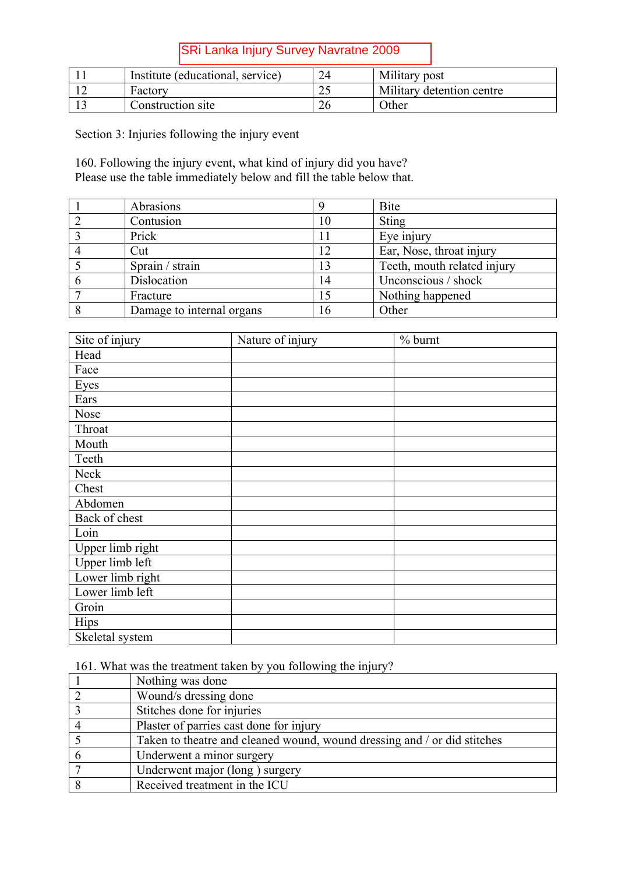| Institute (educational, service) |     | Military post             |
|----------------------------------|-----|---------------------------|
| Factory                          | ت ک | Military detention centre |
| Construction site                |     | <b>Other</b>              |

Section 3: Injuries following the injury event

160. Following the injury event, what kind of injury did you have? Please use the table immediately below and fill the table below that.

| Abrasions                 |    | <b>Bite</b>                 |
|---------------------------|----|-----------------------------|
| Contusion                 | 10 | <b>Sting</b>                |
| Prick                     |    | Eye injury                  |
| Cut                       | 12 | Ear, Nose, throat injury    |
| Sprain / strain           | 13 | Teeth, mouth related injury |
| Dislocation               | 14 | Unconscious / shock         |
| Fracture                  | 15 | Nothing happened            |
| Damage to internal organs | 16 | Other                       |

| Site of injury   | Nature of injury | $%$ burnt |
|------------------|------------------|-----------|
| Head             |                  |           |
| Face             |                  |           |
| Eyes             |                  |           |
| Ears             |                  |           |
| Nose             |                  |           |
| Throat           |                  |           |
| Mouth            |                  |           |
| Teeth            |                  |           |
| Neck             |                  |           |
| Chest            |                  |           |
| Abdomen          |                  |           |
| Back of chest    |                  |           |
| Loin             |                  |           |
| Upper limb right |                  |           |
| Upper limb left  |                  |           |
| Lower limb right |                  |           |
| Lower limb left  |                  |           |
| Groin            |                  |           |
| <b>Hips</b>      |                  |           |
| Skeletal system  |                  |           |

161. What was the treatment taken by you following the injury?

| Nothing was done                                                         |
|--------------------------------------------------------------------------|
| Wound/s dressing done                                                    |
| Stitches done for injuries                                               |
| Plaster of parries cast done for injury                                  |
| Taken to theatre and cleaned wound, wound dressing and / or did stitches |
| Underwent a minor surgery                                                |
| Underwent major (long) surgery                                           |
| Received treatment in the ICU                                            |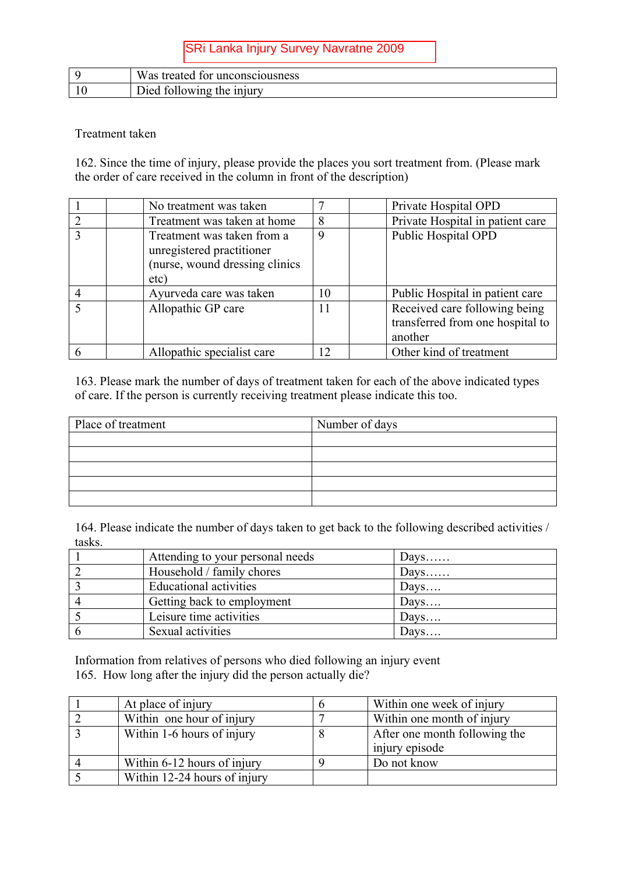| Was treated for unconsciousness |
|---------------------------------|
| tollowing the injury<br>Jied    |

## Treatment taken

162. Since the time of injury, please provide the places you sort treatment from. (Please mark the order of care received in the column in front of the description)

| No treatment was taken                                                                             | ⇁  | Private Hospital OPD                                                         |
|----------------------------------------------------------------------------------------------------|----|------------------------------------------------------------------------------|
| Treatment was taken at home                                                                        | 8  | Private Hospital in patient care                                             |
| Treatment was taken from a<br>unregistered practitioner<br>(nurse, wound dressing clinics)<br>etc) | 9  | <b>Public Hospital OPD</b>                                                   |
| Ayurveda care was taken                                                                            | 10 | Public Hospital in patient care                                              |
| Allopathic GP care                                                                                 | 11 | Received care following being<br>transferred from one hospital to<br>another |
| Allopathic specialist care                                                                         |    | Other kind of treatment                                                      |

163. Please mark the number of days of treatment taken for each of the above indicated types of care. If the person is currently receiving treatment please indicate this too.

| Place of treatment | Number of days |  |
|--------------------|----------------|--|
|                    |                |  |
|                    |                |  |
|                    |                |  |
|                    |                |  |
|                    |                |  |

164. Please indicate the number of days taken to get back to the following described activities / tasks.

| Attending to your personal needs | Days             |
|----------------------------------|------------------|
| Household / family chores        | Days             |
| Educational activities           | Days             |
| Getting back to employment       | $_{\text{Days}}$ |
| Leisure time activities          | $_{\text{Days}}$ |
| Sexual activities                | Days             |

Information from relatives of persons who died following an injury event 165. How long after the injury did the person actually die?

| At place of injury           |   | Within one week of injury                       |
|------------------------------|---|-------------------------------------------------|
| Within one hour of injury    |   | Within one month of injury                      |
| Within 1-6 hours of injury   | 8 | After one month following the<br>injury episode |
| Within 6-12 hours of injury  |   | Do not know                                     |
| Within 12-24 hours of injury |   |                                                 |